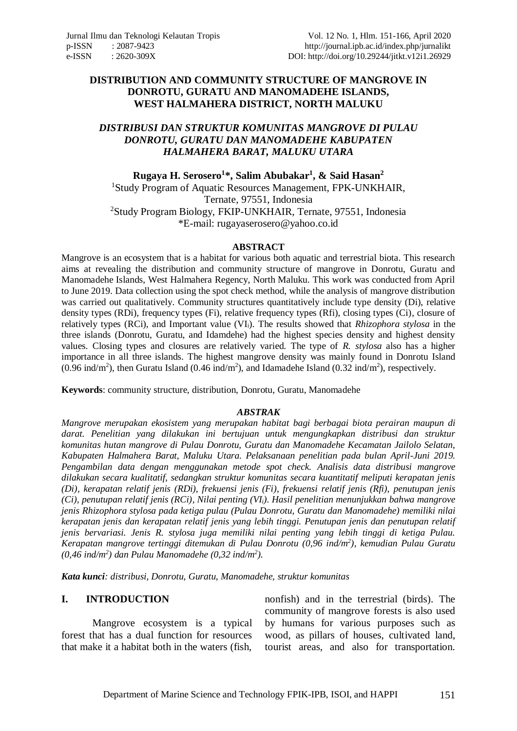#### **DISTRIBUTION AND COMMUNITY STRUCTURE OF MANGROVE IN DONROTU, GURATU AND MANOMADEHE ISLANDS, WEST HALMAHERA DISTRICT, NORTH MALUKU**

### *DISTRIBUSI DAN STRUKTUR KOMUNITAS MANGROVE DI PULAU DONROTU, GURATU DAN MANOMADEHE KABUPATEN HALMAHERA BARAT, MALUKU UTARA*

**Rugaya H. Serosero<sup>1</sup> \*, Salim Abubakar<sup>1</sup> , & Said Hasan<sup>2</sup>** <sup>1</sup>Study Program of Aquatic Resources Management, FPK-UNKHAIR, Ternate, 97551, Indonesia <sup>2</sup>Study Program Biology, FKIP-UNKHAIR, Ternate, 97551, Indonesia \*E-mail: [rugayaserosero@yahoo.co.id](mailto:rugayaserosero@yahoo.co.id)

#### **ABSTRACT**

Mangrove is an ecosystem that is a habitat for various both aquatic and terrestrial biota. This research aims at revealing the distribution and community structure of mangrove in Donrotu, Guratu and Manomadehe Islands, West Halmahera Regency, North Maluku. This work was conducted from April to June 2019. Data collection using the spot check method, while the analysis of mangrove distribution was carried out qualitatively. Community structures quantitatively include type density (Di), relative density types (RDi), frequency types (Fi), relative frequency types (Rfi), closing types (Ci), closure of relatively types (RCi), and Important value (VIi). The results showed that *Rhizophora stylosa* in the three islands (Donrotu, Guratu, and Idamdehe) had the highest species density and highest density values. Closing types and closures are relatively varied. The type of *R. stylosa* also has a higher importance in all three islands. The highest mangrove density was mainly found in Donrotu Island  $(0.96 \text{ ind/m}^2)$ , then Guratu Island  $(0.46 \text{ ind/m}^2)$ , and Idamadehe Island  $(0.32 \text{ ind/m}^2)$ , respectively.

**Keywords**: community structure, distribution, Donrotu, Guratu, Manomadehe

#### *ABSTRAK*

*Mangrove merupakan ekosistem yang merupakan habitat bagi berbagai biota perairan maupun di darat. Penelitian yang dilakukan ini bertujuan untuk mengungkapkan distribusi dan struktur komunitas hutan mangrove di Pulau Donrotu, Guratu dan Manomadehe Kecamatan Jailolo Selatan, Kabupaten Halmahera Barat, Maluku Utara. Pelaksanaan penelitian pada bulan April-Juni 2019. Pengambilan data dengan menggunakan metode spot check. Analisis data distribusi mangrove dilakukan secara kualitatif, sedangkan struktur komunitas secara kuantitatif meliputi kerapatan jenis (Di), kerapatan relatif jenis (RDi), frekuensi jenis (Fi), frekuensi relatif jenis (Rfi), penutupan jenis (Ci), penutupan relatif jenis (RCi), Nilai penting (VIi). Hasil penelitian menunjukkan bahwa mangrove jenis Rhizophora stylosa pada ketiga pulau (Pulau Donrotu, Guratu dan Manomadehe) memiliki nilai kerapatan jenis dan kerapatan relatif jenis yang lebih tinggi. Penutupan jenis dan penutupan relatif jenis bervariasi. Jenis R. stylosa juga memiliki nilai penting yang lebih tinggi di ketiga Pulau. Kerapatan mangrove tertinggi ditemukan di Pulau Donrotu (0,96 ind/m<sup>2</sup> ), kemudian Pulau Guratu (0,46 ind/m<sup>2</sup> ) dan Pulau Manomadehe (0,32 ind/m<sup>2</sup> ).*

*Kata kunci: distribusi, Donrotu, Guratu, Manomadehe, struktur komunitas*

#### **I. INTRODUCTION**

Mangrove ecosystem is a typical forest that has a dual function for resources that make it a habitat both in the waters (fish,

nonfish) and in the terrestrial (birds). The community of mangrove forests is also used by humans for various purposes such as wood, as pillars of houses, cultivated land, tourist areas, and also for transportation.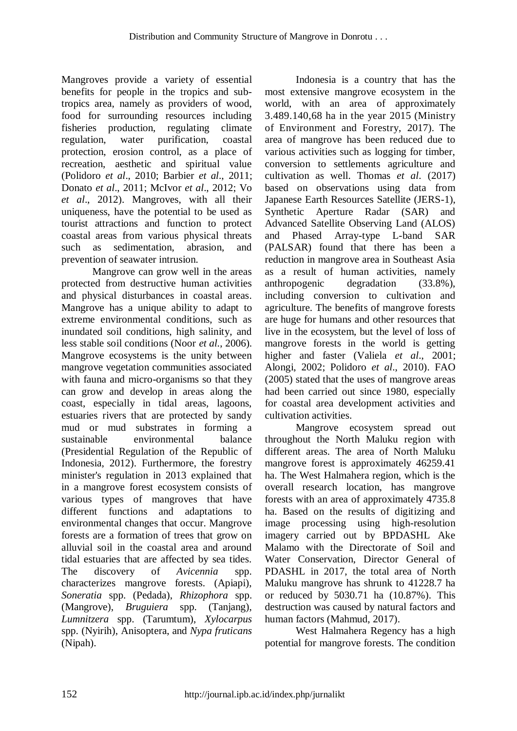Mangroves provide a variety of essential benefits for people in the tropics and subtropics area, namely as providers of wood, food for surrounding resources including fisheries production, regulating climate regulation, water purification, coastal protection, erosion control, as a place of recreation, aesthetic and spiritual value (Polidoro *et al*., 2010; Barbier *et al*., 2011; Donato *et al*., 2011; McIvor *et al*., 2012; Vo *et al*., 2012). Mangroves, with all their uniqueness, have the potential to be used as tourist attractions and function to protect coastal areas from various physical threats such as sedimentation, abrasion, and prevention of seawater intrusion.

Mangrove can grow well in the areas protected from destructive human activities and physical disturbances in coastal areas. Mangrove has a unique ability to adapt to extreme environmental conditions, such as inundated soil conditions, high salinity, and less stable soil conditions (Noor *et al*., 2006). Mangrove ecosystems is the unity between mangrove vegetation communities associated with fauna and micro-organisms so that they can grow and develop in areas along the coast, especially in tidal areas, lagoons, estuaries rivers that are protected by sandy mud or mud substrates in forming a sustainable environmental balance (Presidential Regulation of the Republic of Indonesia, 2012). Furthermore, the forestry minister's regulation in 2013 explained that in a mangrove forest ecosystem consists of various types of mangroves that have different functions and adaptations to environmental changes that occur. Mangrove forests are a formation of trees that grow on alluvial soil in the coastal area and around tidal estuaries that are affected by sea tides. The discovery of *Avicennia* spp. characterizes mangrove forests. (Apiapi), *Soneratia* spp. (Pedada), *Rhizophora* spp. (Mangrove), *Bruguiera* spp. (Tanjang), *Lumnitzera* spp. (Tarumtum), *Xylocarpus* spp. (Nyirih), Anisoptera, and *Nypa fruticans* (Nipah).

Indonesia is a country that has the most extensive mangrove ecosystem in the world, with an area of approximately 3.489.140,68 ha in the year 2015 (Ministry of Environment and Forestry, 2017). The area of mangrove has been reduced due to various activities such as logging for timber, conversion to settlements agriculture and cultivation as well. Thomas *et al*. (2017) based on observations using data from Japanese Earth Resources Satellite (JERS-1), Synthetic Aperture Radar (SAR) and Advanced Satellite Observing Land (ALOS) and Phased Array-type L-band SAR (PALSAR) found that there has been a reduction in mangrove area in Southeast Asia as a result of human activities, namely anthropogenic degradation (33.8%), including conversion to cultivation and agriculture. The benefits of mangrove forests are huge for humans and other resources that live in the ecosystem, but the level of loss of mangrove forests in the world is getting higher and faster (Valiela *et al*., 2001; Alongi, 2002; Polidoro *et al*., 2010). FAO (2005) stated that the uses of mangrove areas had been carried out since 1980, especially for coastal area development activities and cultivation activities.

Mangrove ecosystem spread out throughout the North Maluku region with different areas. The area of North Maluku mangrove forest is approximately 46259.41 ha. The West Halmahera region, which is the overall research location, has mangrove forests with an area of approximately 4735.8 ha. Based on the results of digitizing and image processing using high-resolution imagery carried out by BPDASHL Ake Malamo with the Directorate of Soil and Water Conservation, Director General of PDASHL in 2017, the total area of North Maluku mangrove has shrunk to 41228.7 ha or reduced by 5030.71 ha (10.87%). This destruction was caused by natural factors and human factors (Mahmud, 2017).

West Halmahera Regency has a high potential for mangrove forests. The condition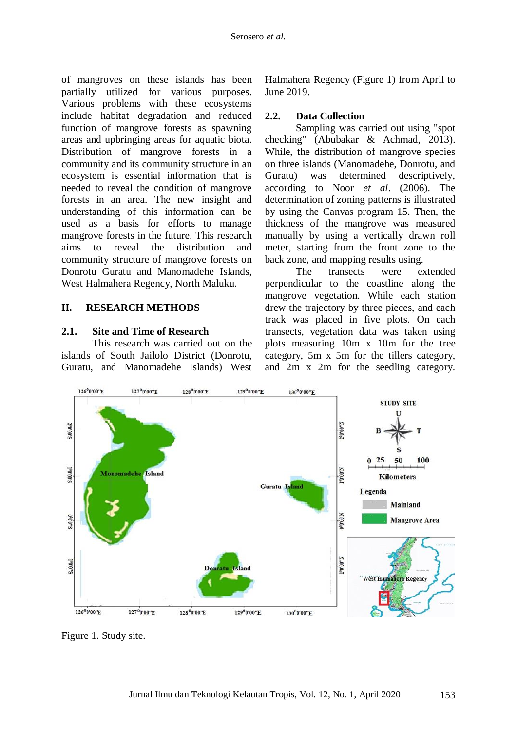of mangroves on these islands has been partially utilized for various purposes. Various problems with these ecosystems include habitat degradation and reduced function of mangrove forests as spawning areas and upbringing areas for aquatic biota. Distribution of mangrove forests in a community and its community structure in an ecosystem is essential information that is needed to reveal the condition of mangrove forests in an area. The new insight and understanding of this information can be used as a basis for efforts to manage mangrove forests in the future. This research aims to reveal the distribution and community structure of mangrove forests on Donrotu Guratu and Manomadehe Islands, West Halmahera Regency, North Maluku.

### **II. RESEARCH METHODS**

#### **2.1. Site and Time of Research**

This research was carried out on the islands of South Jailolo District (Donrotu, Guratu, and Manomadehe Islands) West Halmahera Regency (Figure 1) from April to June 2019.

#### **2.2. Data Collection**

Sampling was carried out using "spot checking" (Abubakar & Achmad, 2013). While, the distribution of mangrove species on three islands (Manomadehe, Donrotu, and Guratu) was determined descriptively, according to Noor *et al*. (2006). The determination of zoning patterns is illustrated by using the Canvas program 15. Then, the thickness of the mangrove was measured manually by using a vertically drawn roll meter, starting from the front zone to the back zone, and mapping results using.

The transects were extended perpendicular to the coastline along the mangrove vegetation. While each station drew the trajectory by three pieces, and each track was placed in five plots. On each transects, vegetation data was taken using plots measuring 10m x 10m for the tree category, 5m x 5m for the tillers category, and 2m x 2m for the seedling category.



Figure 1. Study site.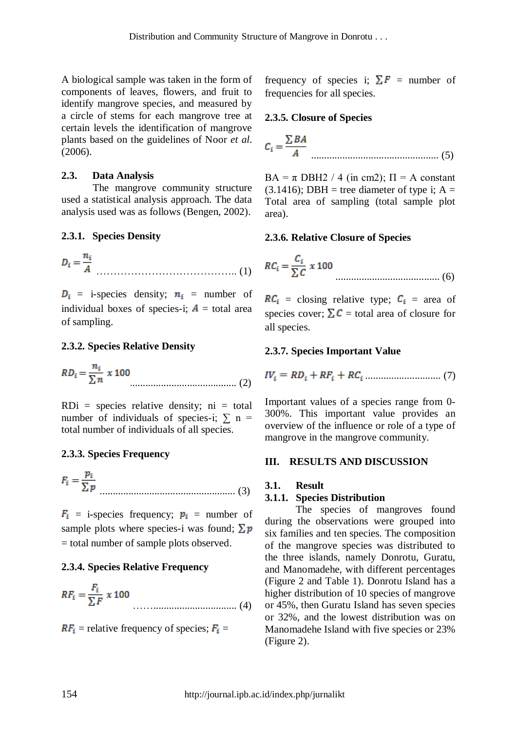A biological sample was taken in the form of components of leaves, flowers, and fruit to identify mangrove species, and measured by a circle of stems for each mangrove tree at certain levels the identification of mangrove plants based on the guidelines of Noor *et al*. (2006).

### **2.3. Data Analysis**

The mangrove community structure used a statistical analysis approach. The data analysis used was as follows (Bengen, 2002).

# **2.3.1. Species Density**

$$
D_i = \frac{n_i}{A}
$$
 (1)

 $D_i$  = i-species density;  $n_i$  = number of individual boxes of species-i;  $A =$  total area of sampling.

# **2.3.2. Species Relative Density**

$$
RD_i = \frac{n_i}{\sum n} \times 100
$$
 (2)

 $RDi = species$  relative density;  $ni = total$ number of individuals of species-i;  $\sum n$  = total number of individuals of all species.

# **2.3.3. Species Frequency**

$$
F_i = \frac{p_i}{\sum p}
$$
 (3)

 $F_i$  = i-species frequency;  $p_i$  = number of sample plots where species-i was found;  $\sum p$ = total number of sample plots observed.

# **2.3.4. Species Relative Frequency**

$$
RF_i = \frac{F_i}{\sum F} \times 100
$$
 (4)

 $RF_i$  = relative frequency of species;  $F_i$  =

frequency of species i;  $\Sigma F$  = number of frequencies for all species.

### **2.3.5. Closure of Species**

$$
C_i = \frac{\sum BA}{A}
$$
 (5)

 $BA = \pi DBH2 / 4$  (in cm2);  $\Pi = A$  constant  $(3.1416)$ ; DBH = tree diameter of type i; A = Total area of sampling (total sample plot area).

### **2.3.6. Relative Closure of Species**

$$
RC_i = \frac{C_i}{\sum C} \times 100
$$
 (6)

 $RC_i$  = closing relative type;  $C_i$  = area of species cover;  $\sum C$  = total area of closure for all species.

# **2.3.7. Species Important Value**

$$
IV_i = RD_i + RF_i + RC_i \dots \dots \dots \dots \dots \dots \dots \dots \dots \tag{7}
$$

Important values of a species range from 0- 300%. This important value provides an overview of the influence or role of a type of mangrove in the mangrove community.

#### **III. RESULTS AND DISCUSSION**

# **3.1. Result**

#### **3.1.1. Species Distribution**

The species of mangroves found during the observations were grouped into six families and ten species. The composition of the mangrove species was distributed to the three islands, namely Donrotu, Guratu, and Manomadehe, with different percentages (Figure 2 and Table 1). Donrotu Island has a higher distribution of 10 species of mangrove or 45%, then Guratu Island has seven species or 32%, and the lowest distribution was on Manomadehe Island with five species or 23% (Figure 2).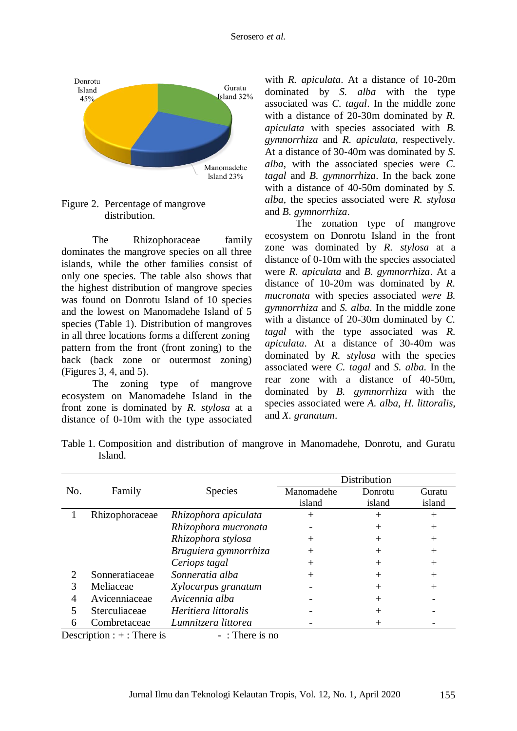

Figure 2. Percentage of mangrove distribution.

The Rhizophoraceae family dominates the mangrove species on all three islands, while the other families consist of only one species. The table also shows that the highest distribution of mangrove species was found on Donrotu Island of 10 species and the lowest on Manomadehe Island of 5 species (Table 1). Distribution of mangroves in all three locations forms a different zoning pattern from the front (front zoning) to the back (back zone or outermost zoning) (Figures 3, 4, and 5).

The zoning type of mangrove ecosystem on Manomadehe Island in the front zone is dominated by *R. stylosa* at a distance of 0-10m with the type associated

with *R. apiculata*. At a distance of 10-20m dominated by *S. alba* with the type associated was *C. tagal*. In the middle zone with a distance of 20-30m dominated by *R. apiculata* with species associated with *B. gymnorrhiza* and *R. apiculata*, respectively. At a distance of 30-40m was dominated by *S. alba*, with the associated species were *C. tagal* and *B. gymnorrhiza*. In the back zone with a distance of 40-50m dominated by *S. alba*, the species associated were *R. stylosa* and *B. gymnorrhiza*.

The zonation type of mangrove ecosystem on Donrotu Island in the front zone was dominated by *R. stylosa* at a distance of 0-10m with the species associated were *R. apiculata* and *B. gymnorrhiza*. At a distance of 10-20m was dominated by *R. mucronata* with species associated *were B. gymnorrhiza* and *S. alba*. In the middle zone with a distance of 20-30m dominated by *C. tagal* with the type associated was *R. apiculata*. At a distance of 30-40m was dominated by *R. stylosa* with the species associated were *C. tagal* and *S. alba*. In the rear zone with a distance of 40-50m, dominated by *B. gymnorrhiza* with the species associated were *A. alba*, *H. littoralis*, and *X. granatum*.

| Table 1. Composition and distribution of mangrove in Manomadehe, Donrotu, and Guratu |  |  |  |  |  |
|--------------------------------------------------------------------------------------|--|--|--|--|--|
| Island.                                                                              |  |  |  |  |  |

|     |                                        |                       |            | Distribution |         |
|-----|----------------------------------------|-----------------------|------------|--------------|---------|
| No. | Family                                 | <b>Species</b>        | Manomadehe | Donrotu      | Guratu  |
|     |                                        |                       | island     | island       | island  |
|     | Rhizophoraceae                         | Rhizophora apiculata  | $^{+}$     |              | $+$     |
|     |                                        | Rhizophora mucronata  |            |              | $^{+}$  |
|     |                                        | Rhizophora stylosa    | $^+$       | $^+$         | $^{+}$  |
|     |                                        | Bruguiera gymnorrhiza | $^{+}$     |              | $\,+\,$ |
|     |                                        | Ceriops tagal         | $^+$       |              | $^{+}$  |
| 2   | Sonneratiaceae                         | Sonneratia alba       |            |              | $^{+}$  |
| 3   | Meliaceae                              | Xylocarpus granatum   |            | $^+$         | $^{+}$  |
|     | Avicenniaceae                          | Avicennia alba        |            |              |         |
|     | Sterculiaceae                          | Heritiera littoralis  |            |              |         |
| 6   | Combretaceae                           | Lumnitzera littorea   |            |              |         |
|     | Description $\cdot$ + $\cdot$ There is | $ \cdot$ There is no  |            |              |         |

 $Description : + : There is  $- : There is no$$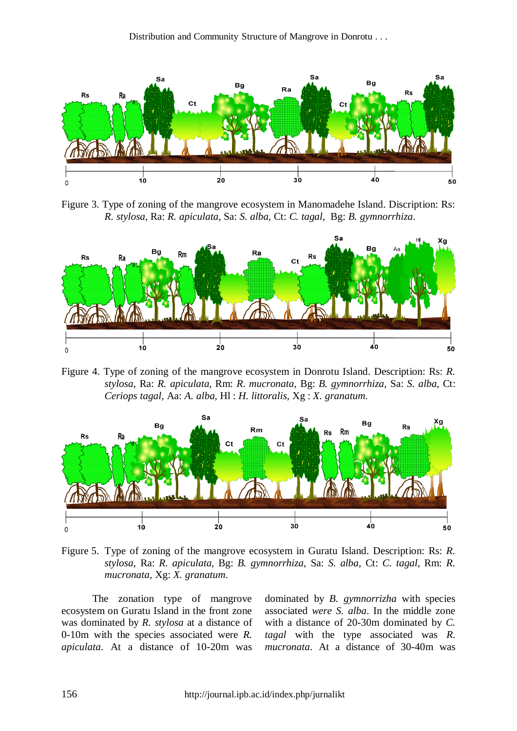

Figure 3. Type of zoning of the mangrove ecosystem in Manomadehe Island. Discription: Rs: *R. stylosa,* Ra: *R. apiculata,* Sa: *S. alba,* Ct: *C. tagal,* Bg: *B. gymnorrhiza*.



Figure 4. Type of zoning of the mangrove ecosystem in Donrotu Island. Description: Rs: *R. stylosa,* Ra: *R. apiculata,* Rm: *R. mucronata,* Bg: *B. gymnorrhiza,* Sa: *S. alba,* Ct: *Ceriops tagal,* Aa: *A. alba,* Hl : *H. littoralis,* Xg : *X. granatum*.



Figure 5. Type of zoning of the mangrove ecosystem in Guratu Island. Description: Rs: *R. stylosa,* Ra: *R. apiculata,* Bg: *B. gymnorrhiza,* Sa: *S. alba,* Ct: *C. tagal,* Rm: *R. mucronata,* Xg: *X. granatum*.

The zonation type of mangrove ecosystem on Guratu Island in the front zone was dominated by *R. stylosa* at a distance of 0-10m with the species associated were *R. apiculata*. At a distance of 10-20m was

dominated by *B. gymnorrizha* with species associated *were S. alba*. In the middle zone with a distance of 20-30m dominated by *C. tagal* with the type associated was *R. mucronata*. At a distance of 30-40m was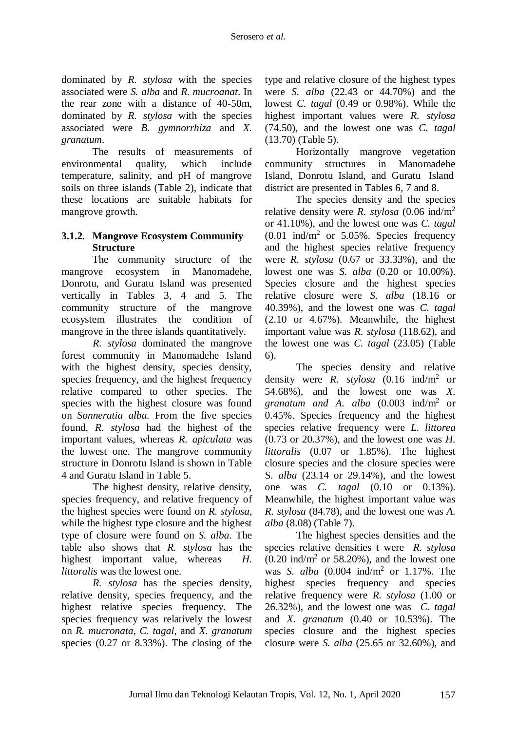dominated by *R. stylosa* with the species associated were *S. alba* and *R. mucroanat*. In the rear zone with a distance of 40-50m, dominated by *R. stylosa* with the species associated were *B. gymnorrhiza* and *X. granatum*.

The results of measurements of environmental quality, which include temperature, salinity, and pH of mangrove soils on three islands (Table 2), indicate that these locations are suitable habitats for mangrove growth.

# **3.1.2. Mangrove Ecosystem Community Structure**

The community structure of the mangrove ecosystem in Manomadehe, Donrotu, and Guratu Island was presented vertically in Tables 3, 4 and 5. The community structure of the mangrove ecosystem illustrates the condition of mangrove in the three islands quantitatively.

*R. stylosa* dominated the mangrove forest community in Manomadehe Island with the highest density, species density, species frequency, and the highest frequency relative compared to other species. The species with the highest closure was found on *Sonneratia alba*. From the five species found, *R. stylosa* had the highest of the important values, whereas *R. apiculata* was the lowest one. The mangrove community structure in Donrotu Island is shown in Table 4 and Guratu Island in Table 5.

The highest density, relative density, species frequency, and relative frequency of the highest species were found on *R. stylosa*, while the highest type closure and the highest type of closure were found on *S. alba*. The table also shows that *R. stylosa* has the highest important value, whereas *H. littoralis* was the lowest one.

*R. stylosa* has the species density, relative density, species frequency, and the highest relative species frequency. The species frequency was relatively the lowest on *R. mucronata*, *C. tagal*, and *X. granatum* species (0.27 or 8.33%). The closing of the

type and relative closure of the highest types were *S. alba* (22.43 or 44.70%) and the lowest *C. tagal* (0.49 or 0.98%). While the highest important values were *R. stylosa* (74.50), and the lowest one was *C. tagal* (13.70) (Table 5).

Horizontally mangrove vegetation community structures in Manomadehe Island, Donrotu Island, and Guratu Island district are presented in Tables 6, 7 and 8.

The species density and the species relative density were *R. stylosa* (0.06 ind/m<sup>2</sup> or 41.10%), and the lowest one was *C. tagal*  $(0.01 \text{ ind/m}^2 \text{ or } 5.05\%$ . Species frequency and the highest species relative frequency were *R. stylosa* (0.67 or 33.33%), and the lowest one was *S. alba* (0.20 or 10.00%). Species closure and the highest species relative closure were *S. alba* (18.16 or 40.39%), and the lowest one was *C. tagal*  (2.10 or 4.67%). Meanwhile, the highest important value was *R. stylosa* (118.62), and the lowest one was *C. tagal* (23.05) (Table 6).

The species density and relative density were *R. stylosa* (0.16 ind/m<sup>2</sup> or 54.68%), and the lowest one was *X. granatum and A. alba* (0.003 ind/m<sup>2</sup> or 0.45%. Species frequency and the highest species relative frequency were *L. littorea*  (0.73 or 20.37%), and the lowest one was *H. littoralis* (0.07 or 1.85%). The highest closure species and the closure species were S*. alba* (23.14 or 29.14%), and the lowest one was *C. tagal* (0.10 or 0.13%). Meanwhile, the highest important value was *R. stylosa* (84.78), and the lowest one was *A. alba* (8.08) (Table 7).

The highest species densities and the species relative densities t were *R. stylosa*   $(0.20 \text{ ind/m}^2 \text{ or } 58.20\%)$ , and the lowest one was *S. alba* (0.004 ind/m<sup>2</sup> or 1.17%. The highest species frequency and species relative frequency were *R. stylosa* (1.00 or 26.32%), and the lowest one was *C. tagal*  and *X. granatum* (0.40 or 10.53%). The species closure and the highest species closure were *S. alba* (25.65 or 32.60%), and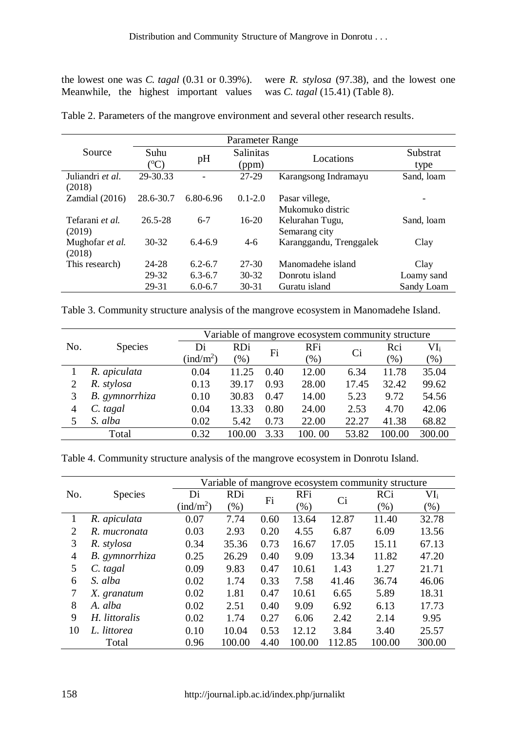Meanwhile, the highest important values was *C. tagal* (15.41) (Table 8).

the lowest one was *C. tagal* (0.31 or 0.39%). were *R. stylosa* (97.38), and the lowest one

|                  | Parameter Range |             |                  |                         |            |  |  |
|------------------|-----------------|-------------|------------------|-------------------------|------------|--|--|
| Source           | Suhu            | pH          | <b>Salinitas</b> | Locations               | Substrat   |  |  |
|                  | $({}^oC)$       |             | (ppm)            |                         | type       |  |  |
| Juliandri et al. | 29-30.33        |             | $27-29$          | Karangsong Indramayu    | Sand, loam |  |  |
| (2018)           |                 |             |                  |                         |            |  |  |
| Zamdial (2016)   | 28.6-30.7       | 6.80-6.96   | $0.1 - 2.0$      | Pasar villege,          |            |  |  |
|                  |                 |             |                  | Mukomuko distric        |            |  |  |
| Tefarani et al.  | $26.5 - 28$     | $6 - 7$     | $16-20$          | Kelurahan Tugu,         | Sand, loam |  |  |
| (2019)           |                 |             |                  | Semarang city           |            |  |  |
| Mughofar et al.  | $30 - 32$       | $6.4 - 6.9$ | $4-6$            | Karanggandu, Trenggalek | Clay       |  |  |
| (2018)           |                 |             |                  |                         |            |  |  |
| This research)   | 24-28           | $6.2 - 6.7$ | 27-30            | Manomadehe island       | Clay       |  |  |
|                  | 29-32           | $6.3 - 6.7$ | $30 - 32$        | Donrotu island          | Loamy sand |  |  |
|                  | 29-31           | $6.0 - 6.7$ | $30 - 31$        | Guratu island           | Sandy Loam |  |  |

Table 2. Parameters of the mangrove environment and several other research results.

Table 3. Community structure analysis of the mangrove ecosystem in Manomadehe Island.

|     |                | Variable of mangrove ecosystem community structure |            |      |        |       |        |        |  |
|-----|----------------|----------------------------------------------------|------------|------|--------|-------|--------|--------|--|
| No. | <b>Species</b> | Di                                                 | <b>RDi</b> | Fi   | RFi    | Ci    | Rci    | $VI_i$ |  |
|     |                | $(\text{ind/m}^2)$                                 | (%)        |      | $(\%)$ |       | $(\%)$ | $(\%)$ |  |
|     | R. apiculata   | 0.04                                               | 11.25      | 0.40 | 12.00  | 6.34  | 11.78  | 35.04  |  |
| 2   | R. stylosa     | 0.13                                               | 39.17      | 0.93 | 28.00  | 17.45 | 32.42  | 99.62  |  |
| 3   | B. gymnorrhiza | 0.10                                               | 30.83      | 0.47 | 14.00  | 5.23  | 9.72   | 54.56  |  |
| 4   | $C.$ tagal     | 0.04                                               | 13.33      | 0.80 | 24.00  | 2.53  | 4.70   | 42.06  |  |
| 5   | S. alba        | 0.02                                               | 5.42       | 0.73 | 22.00  | 22.27 | 41.38  | 68.82  |  |
|     | Total          | 0.32                                               | 100.00     | 3.33 | 100.00 | 53.82 | 100.00 | 300.00 |  |

Table 4. Community structure analysis of the mangrove ecosystem in Donrotu Island.

| Variable of mangrove ecosystem community structure |                |                               |            |      |            |        |        |        |
|----------------------------------------------------|----------------|-------------------------------|------------|------|------------|--------|--------|--------|
| No.                                                | <b>Species</b> | Di                            | <b>RDi</b> | Fi   | <b>RFi</b> | Ci     | RCi    | $VI_i$ |
|                                                    |                | $\left(\text{ind/m}^2\right)$ | $(\% )$    |      | $(\%)$     |        | $(\%)$ | (% )   |
| 1                                                  | R. apiculata   | 0.07                          | 7.74       | 0.60 | 13.64      | 12.87  | 11.40  | 32.78  |
| $\overline{2}$                                     | R. mucronata   | 0.03                          | 2.93       | 0.20 | 4.55       | 6.87   | 6.09   | 13.56  |
| 3                                                  | R. stylosa     | 0.34                          | 35.36      | 0.73 | 16.67      | 17.05  | 15.11  | 67.13  |
| $\overline{4}$                                     | B. gymnorrhiza | 0.25                          | 26.29      | 0.40 | 9.09       | 13.34  | 11.82  | 47.20  |
| 5                                                  | C. tagal       | 0.09                          | 9.83       | 0.47 | 10.61      | 1.43   | 1.27   | 21.71  |
| 6                                                  | S. alba        | 0.02                          | 1.74       | 0.33 | 7.58       | 41.46  | 36.74  | 46.06  |
| 7                                                  | X. granatum    | 0.02                          | 1.81       | 0.47 | 10.61      | 6.65   | 5.89   | 18.31  |
| 8                                                  | A. alba        | 0.02                          | 2.51       | 0.40 | 9.09       | 6.92   | 6.13   | 17.73  |
| 9                                                  | H. littoralis  | 0.02                          | 1.74       | 0.27 | 6.06       | 2.42   | 2.14   | 9.95   |
| 10                                                 | L. littorea    | 0.10                          | 10.04      | 0.53 | 12.12      | 3.84   | 3.40   | 25.57  |
|                                                    | Total          | 0.96                          | 100.00     | 4.40 | 100.00     | 112.85 | 100.00 | 300.00 |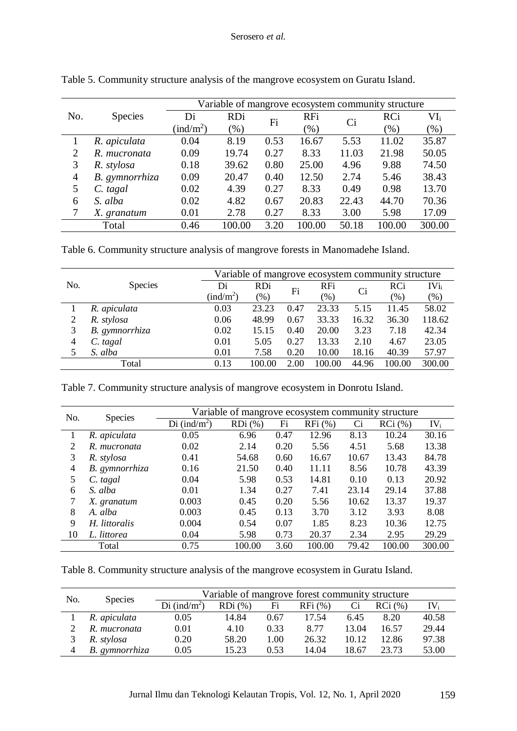|     |                | Variable of mangrove ecosystem community structure |               |      |            |       |         |         |  |  |
|-----|----------------|----------------------------------------------------|---------------|------|------------|-------|---------|---------|--|--|
| No. | <b>Species</b> | Di                                                 | <b>RDi</b>    | Fi   | <b>RFi</b> | Ci    | RCi     | $VI_i$  |  |  |
|     |                | $(\text{ind/m}^2)$                                 | $\frac{9}{6}$ |      | $(\% )$    |       | $(\% )$ | $(\% )$ |  |  |
|     | R. apiculata   | 0.04                                               | 8.19          | 0.53 | 16.67      | 5.53  | 11.02   | 35.87   |  |  |
| 2   | R. mucronata   | 0.09                                               | 19.74         | 0.27 | 8.33       | 11.03 | 21.98   | 50.05   |  |  |
| 3   | R. stylosa     | 0.18                                               | 39.62         | 0.80 | 25.00      | 4.96  | 9.88    | 74.50   |  |  |
| 4   | B. gymnorrhiza | 0.09                                               | 20.47         | 0.40 | 12.50      | 2.74  | 5.46    | 38.43   |  |  |
| 5   | $C.$ tagal     | 0.02                                               | 4.39          | 0.27 | 8.33       | 0.49  | 0.98    | 13.70   |  |  |
| 6   | S. alba        | 0.02                                               | 4.82          | 0.67 | 20.83      | 22.43 | 44.70   | 70.36   |  |  |
|     | X. granatum    | 0.01                                               | 2.78          | 0.27 | 8.33       | 3.00  | 5.98    | 17.09   |  |  |
|     | Total          | 0.46                                               | 100.00        | 3.20 | 100.00     | 50.18 | 100.00  | 300.00  |  |  |

Table 5. Community structure analysis of the mangrove ecosystem on Guratu Island.

Table 6. Community structure analysis of mangrove forests in Manomadehe Island.

|     |                | Variable of mangrove ecosystem community structure |            |      |            |       |        |         |  |  |
|-----|----------------|----------------------------------------------------|------------|------|------------|-------|--------|---------|--|--|
| No. | <b>Species</b> | Di                                                 | <b>RDi</b> | Fi   | <b>RFi</b> | Ci    | RCi    | $IVi_i$ |  |  |
|     |                | $(\text{ind/m}^2)$                                 | (% )       |      | $(\%)$     |       | (%)    | $(\%)$  |  |  |
|     | R. apiculata   | 0.03                                               | 23.23      | 0.47 | 23.33      | 5.15  | 11.45  | 58.02   |  |  |
| 2   | R. stylosa     | 0.06                                               | 48.99      | 0.67 | 33.33      | 16.32 | 36.30  | 118.62  |  |  |
| 3   | B. gymnorrhiza | 0.02                                               | 15.15      | 0.40 | 20.00      | 3.23  | 7.18   | 42.34   |  |  |
| 4   | C. tagal       | 0.01                                               | 5.05       | 0.27 | 13.33      | 2.10  | 4.67   | 23.05   |  |  |
| 5   | S. alba        | 0.01                                               | 7.58       | 0.20 | 10.00      | 18.16 | 40.39  | 57.97   |  |  |
|     | Total          | 0.13                                               | 100.00     | 2.00 | 100.00     | 44.96 | 100.00 | 300.00  |  |  |

Table 7. Community structure analysis of mangrove ecosystem in Donrotu Island.

| No. | <b>Species</b> |                          | Variable of mangrove ecosystem community structure |      |           |       |           |        |
|-----|----------------|--------------------------|----------------------------------------------------|------|-----------|-------|-----------|--------|
|     |                | Di (ind/m <sup>2</sup> ) | $RDi$ (%)                                          | Fi   | $RFi$ (%) | Ci    | $RCi$ (%) | $IV_i$ |
|     | R. apiculata   | 0.05                     | 6.96                                               | 0.47 | 12.96     | 8.13  | 10.24     | 30.16  |
| 2   | R. mucronata   | 0.02                     | 2.14                                               | 0.20 | 5.56      | 4.51  | 5.68      | 13.38  |
| 3   | R. stylosa     | 0.41                     | 54.68                                              | 0.60 | 16.67     | 10.67 | 13.43     | 84.78  |
| 4   | B. gymnorrhiza | 0.16                     | 21.50                                              | 0.40 | 11.11     | 8.56  | 10.78     | 43.39  |
| 5   | C. tagal       | 0.04                     | 5.98                                               | 0.53 | 14.81     | 0.10  | 0.13      | 20.92  |
| 6   | S. alba        | 0.01                     | 1.34                                               | 0.27 | 7.41      | 23.14 | 29.14     | 37.88  |
| 7   | X. granatum    | 0.003                    | 0.45                                               | 0.20 | 5.56      | 10.62 | 13.37     | 19.37  |
| 8   | A. alba        | 0.003                    | 0.45                                               | 0.13 | 3.70      | 3.12  | 3.93      | 8.08   |
| 9   | H. littoralis  | 0.004                    | 0.54                                               | 0.07 | 1.85      | 8.23  | 10.36     | 12.75  |
| 10  | L. littorea    | 0.04                     | 5.98                                               | 0.73 | 20.37     | 2.34  | 2.95      | 29.29  |
|     | Total          | 0.75                     | 100.00                                             | 3.60 | 100.00    | 79.42 | 100.00    | 300.00 |

Table 8. Community structure analysis of the mangrove ecosystem in Guratu Island.

| No. | <b>Species</b> |                          | Variable of mangrove forest community structure |      |        |       |        |          |  |  |  |
|-----|----------------|--------------------------|-------------------------------------------------|------|--------|-------|--------|----------|--|--|--|
|     |                | Di (ind/m <sup>2</sup> ) | $RDi$ $(\%)$                                    | Fi   | RFi(%) |       | RCi(%) | $IV_{i}$ |  |  |  |
|     | R. apiculata   | 0.05                     | 14.84                                           | 0.67 | 17.54  | 6.45  | 8.20   | 40.58    |  |  |  |
|     | R. mucronata   | 0.01                     | 4.10                                            | 0.33 | 8.77   | 13.04 | 16.57  | 29.44    |  |  |  |
|     | R. stylosa     | 0.20                     | 58.20                                           | 1.00 | 26.32  | 10.12 | 12.86  | 97.38    |  |  |  |
|     | B. gymnorrhiza | 0.05                     | 15.23                                           | 0.53 | 14.04  | 18.67 | 23.73  | 53.00    |  |  |  |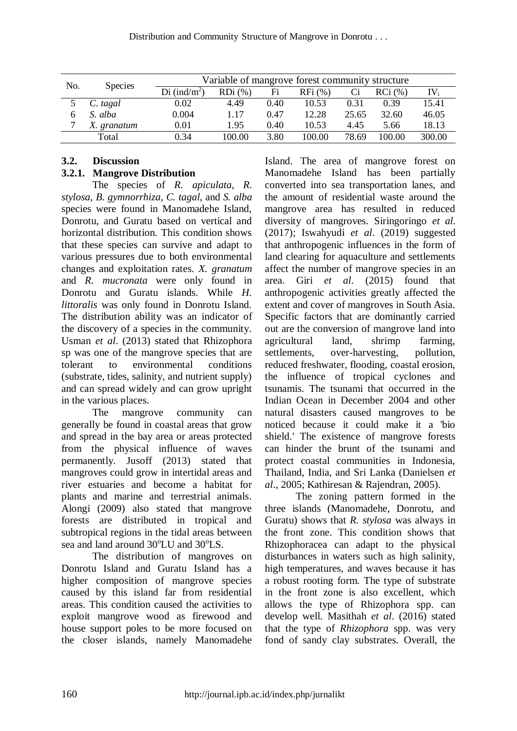| No. | <b>Species</b> |                          | Variable of mangrove forest community structure |      |           |       |        |                          |  |  |
|-----|----------------|--------------------------|-------------------------------------------------|------|-----------|-------|--------|--------------------------|--|--|
|     |                | Di (ind/m <sup>2</sup> ) | $RDi$ $(\%)$                                    | Fi   | $RFi$ (%) | Сi    | RCi(%) | $\mathrm{IV}_\mathrm{i}$ |  |  |
|     | C. tagal       | $0.02\,$                 | 4.49                                            | 0.40 | 10.53     | 0.31  | 0.39   | 15.41                    |  |  |
|     | S. alba        | 0.004                    | 1.17                                            | 0.47 | 12.28     | 25.65 | 32.60  | 46.05                    |  |  |
| ⇁   | X. granatum    | 0.01                     | 1.95                                            | 0.40 | 10.53     | 4.45  | 5.66   | 18.13                    |  |  |
|     | Total          | 0.34                     | 100.00                                          | 3.80 | 100.00    | 78.69 | 100.00 | 300.00                   |  |  |

# **3.2. Discussion**

# **3.2.1. Mangrove Distribution**

The species of *R. apiculata*, *R. stylosa*, *B. gymnorrhiza*, *C. tagal*, and *S. alba* species were found in Manomadehe Island, Donrotu, and Guratu based on vertical and horizontal distribution. This condition shows that these species can survive and adapt to various pressures due to both environmental changes and exploitation rates. *X. granatum* and *R. mucronata* were only found in Donrotu and Guratu islands. While *H. littoralis* was only found in Donrotu Island. The distribution ability was an indicator of the discovery of a species in the community. Usman *et al*. (2013) stated that Rhizophora sp was one of the mangrove species that are tolerant to environmental conditions (substrate, tides, salinity, and nutrient supply) and can spread widely and can grow upright in the various places.

The mangrove community can generally be found in coastal areas that grow and spread in the bay area or areas protected from the physical influence of waves permanently. Jusoff (2013) stated that mangroves could grow in intertidal areas and river estuaries and become a habitat for plants and marine and terrestrial animals. Alongi (2009) also stated that mangrove forests are distributed in tropical and subtropical regions in the tidal areas between sea and land around 30<sup>o</sup>LU and 30<sup>o</sup>LS.

The distribution of mangroves on Donrotu Island and Guratu Island has a higher composition of mangrove species caused by this island far from residential areas. This condition caused the activities to exploit mangrove wood as firewood and house support poles to be more focused on the closer islands, namely Manomadehe Island. The area of mangrove forest on Manomadehe Island has been partially converted into sea transportation lanes, and the amount of residential waste around the mangrove area has resulted in reduced diversity of mangroves. Siringoringo *et al*. (2017); Iswahyudi *et al*. (2019) suggested that anthropogenic influences in the form of land clearing for aquaculture and settlements affect the number of mangrove species in an area. Giri *et al*. (2015) found that anthropogenic activities greatly affected the extent and cover of mangroves in South Asia. Specific factors that are dominantly carried out are the conversion of mangrove land into agricultural land, shrimp farming, settlements, over-harvesting, pollution, reduced freshwater, flooding, coastal erosion, the influence of tropical cyclones and tsunamis. The tsunami that occurred in the Indian Ocean in December 2004 and other natural disasters caused mangroves to be noticed because it could make it a 'bio shield.' The existence of mangrove forests can hinder the brunt of the tsunami and protect coastal communities in Indonesia, Thailand, India, and Sri Lanka (Danielsen *et al*., 2005; Kathiresan & Rajendran, 2005).

The zoning pattern formed in the three islands (Manomadehe, Donrotu, and Guratu) shows that *R. stylosa* was always in the front zone. This condition shows that Rhizophoracea can adapt to the physical disturbances in waters such as high salinity, high temperatures, and waves because it has a robust rooting form. The type of substrate in the front zone is also excellent, which allows the type of Rhizophora spp. can develop well. Masithah *et al*. (2016) stated that the type of *Rhizophora* spp. was very fond of sandy clay substrates. Overall, the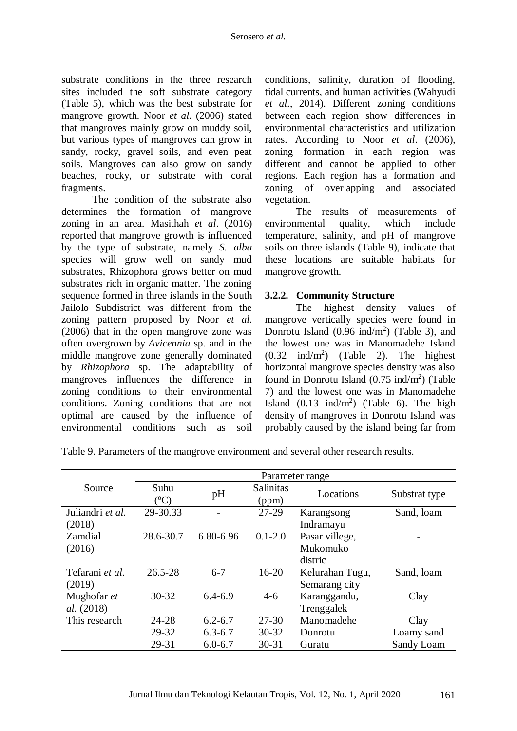substrate conditions in the three research sites included the soft substrate category (Table 5), which was the best substrate for mangrove growth. Noor *et al*. (2006) stated that mangroves mainly grow on muddy soil, but various types of mangroves can grow in sandy, rocky, gravel soils, and even peat soils. Mangroves can also grow on sandy beaches, rocky, or substrate with coral fragments.

The condition of the substrate also determines the formation of mangrove zoning in an area. Masithah *et al*. (2016) reported that mangrove growth is influenced by the type of substrate, namely *S. alba* species will grow well on sandy mud substrates, Rhizophora grows better on mud substrates rich in organic matter. The zoning sequence formed in three islands in the South Jailolo Subdistrict was different from the zoning pattern proposed by Noor *et al*. (2006) that in the open mangrove zone was often overgrown by *Avicennia* sp. and in the middle mangrove zone generally dominated by *Rhizophora* sp. The adaptability of mangroves influences the difference in zoning conditions to their environmental conditions. Zoning conditions that are not optimal are caused by the influence of environmental conditions such as soil conditions, salinity, duration of flooding, tidal currents, and human activities (Wahyudi *et al*., 2014). Different zoning conditions between each region show differences in environmental characteristics and utilization rates. According to Noor *et al*. (2006), zoning formation in each region was different and cannot be applied to other regions. Each region has a formation and zoning of overlapping and associated vegetation.

The results of measurements of environmental quality, which include temperature, salinity, and pH of mangrove soils on three islands (Table 9), indicate that these locations are suitable habitats for mangrove growth.

# **3.2.2. Community Structure**

The highest density values of mangrove vertically species were found in Donrotu Island  $(0.96 \text{ ind/m}^2)$  (Table 3), and the lowest one was in Manomadehe Island  $(0.32 \text{ ind/m}^2)$  (Table 2). The highest horizontal mangrove species density was also found in Donrotu Island  $(0.75 \text{ ind/m}^2)$  (Table 7) and the lowest one was in Manomadehe Island  $(0.13 \text{ ind/m}^2)$  (Table 6). The high density of mangroves in Donrotu Island was probably caused by the island being far from

|                   |                   |             |                           | Parameter range |               |
|-------------------|-------------------|-------------|---------------------------|-----------------|---------------|
| Source            | Suhu<br>$({}^0C)$ | pH          | <b>Salinitas</b><br>(ppm) | Locations       | Substrat type |
| Juliandri et al.  | 29-30.33          |             | $27-29$                   | Karangsong      | Sand, loam    |
| (2018)            |                   |             |                           | Indramayu       |               |
| Zamdial           | 28.6-30.7         | 6.80-6.96   | $0.1 - 2.0$               | Pasar villege,  |               |
| (2016)            |                   |             |                           | Mukomuko        |               |
|                   |                   |             |                           | distric         |               |
| Tefarani et al.   | $26.5 - 28$       | $6 - 7$     | $16-20$                   | Kelurahan Tugu, | Sand, loam    |
| (2019)            |                   |             |                           | Semarang city   |               |
| Mughofar et       | $30 - 32$         | $6,4-6,9$   | $4-6$                     | Karanggandu,    | Clay          |
| <i>al.</i> (2018) |                   |             |                           | Trenggalek      |               |
| This research     | 24-28             | $6.2 - 6.7$ | $27 - 30$                 | Manomadehe      | Clay          |
|                   | 29-32             | $6.3 - 6.7$ | $30 - 32$                 | Donrotu         | Loamy sand    |
|                   | 29-31             | $6.0 - 6.7$ | $30 - 31$                 | Guratu          | Sandy Loam    |

Table 9. Parameters of the mangrove environment and several other research results.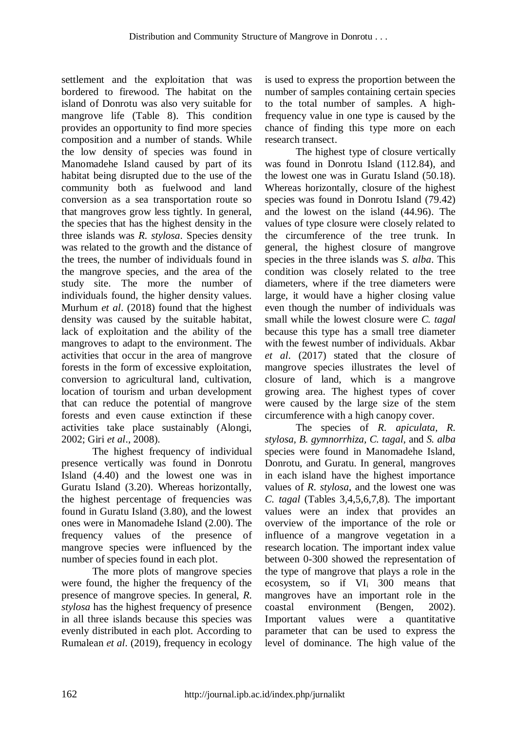settlement and the exploitation that was bordered to firewood. The habitat on the island of Donrotu was also very suitable for mangrove life (Table 8). This condition provides an opportunity to find more species composition and a number of stands. While the low density of species was found in Manomadehe Island caused by part of its habitat being disrupted due to the use of the community both as fuelwood and land conversion as a sea transportation route so that mangroves grow less tightly. In general, the species that has the highest density in the three islands was *R. stylosa*. Species density was related to the growth and the distance of the trees, the number of individuals found in the mangrove species, and the area of the study site. The more the number of individuals found, the higher density values. Murhum *et al*. (2018) found that the highest density was caused by the suitable habitat, lack of exploitation and the ability of the mangroves to adapt to the environment. The activities that occur in the area of mangrove forests in the form of excessive exploitation, conversion to agricultural land, cultivation, location of tourism and urban development that can reduce the potential of mangrove forests and even cause extinction if these activities take place sustainably (Alongi, 2002; Giri *et al*., 2008).

The highest frequency of individual presence vertically was found in Donrotu Island (4.40) and the lowest one was in Guratu Island (3.20). Whereas horizontally, the highest percentage of frequencies was found in Guratu Island (3.80), and the lowest ones were in Manomadehe Island (2.00). The frequency values of the presence of mangrove species were influenced by the number of species found in each plot.

The more plots of mangrove species were found, the higher the frequency of the presence of mangrove species. In general, *R. stylosa* has the highest frequency of presence in all three islands because this species was evenly distributed in each plot. According to Rumalean *et al*. (2019), frequency in ecology is used to express the proportion between the number of samples containing certain species to the total number of samples. A highfrequency value in one type is caused by the chance of finding this type more on each research transect.

The highest type of closure vertically was found in Donrotu Island (112.84), and the lowest one was in Guratu Island (50.18). Whereas horizontally, closure of the highest species was found in Donrotu Island (79.42) and the lowest on the island (44.96). The values of type closure were closely related to the circumference of the tree trunk. In general, the highest closure of mangrove species in the three islands was *S. alba*. This condition was closely related to the tree diameters, where if the tree diameters were large, it would have a higher closing value even though the number of individuals was small while the lowest closure were *C. tagal* because this type has a small tree diameter with the fewest number of individuals. Akbar *et al*. (2017) stated that the closure of mangrove species illustrates the level of closure of land, which is a mangrove growing area. The highest types of cover were caused by the large size of the stem circumference with a high canopy cover.

The species of *R. apiculata, R. stylosa, B. gymnorrhiza, C. tagal*, and *S. alba* species were found in Manomadehe Island, Donrotu, and Guratu. In general, mangroves in each island have the highest importance values of *R. stylosa*, and the lowest one was *C. tagal* (Tables 3,4,5,6,7,8)*.* The important values were an index that provides an overview of the importance of the role or influence of a mangrove vegetation in a research location. The important index value between 0-300 showed the representation of the type of mangrove that plays a role in the ecosystem, so if VI<sup>i</sup> 300 means that mangroves have an important role in the coastal environment (Bengen, 2002). Important values were a quantitative parameter that can be used to express the level of dominance. The high value of the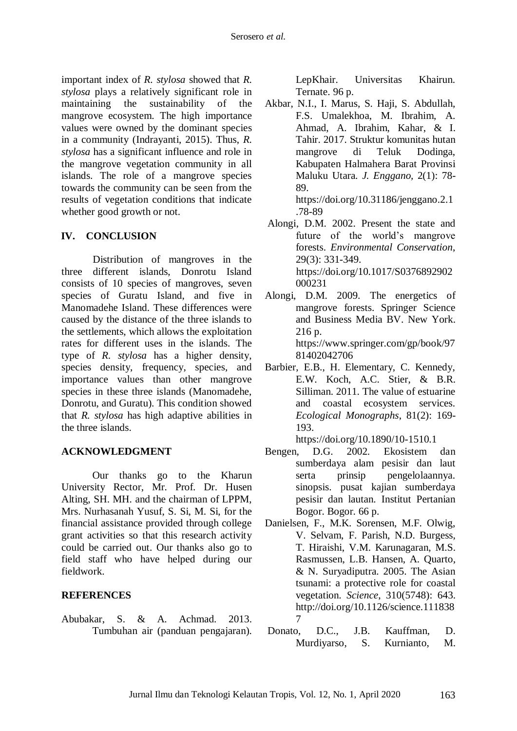important index of *R. stylosa* showed that *R. stylosa* plays a relatively significant role in maintaining the sustainability of the mangrove ecosystem. The high importance values were owned by the dominant species in a community (Indrayanti, 2015). Thus, *R. stylosa* has a significant influence and role in the mangrove vegetation community in all islands. The role of a mangrove species towards the community can be seen from the results of vegetation conditions that indicate whether good growth or not.

# **IV. CONCLUSION**

Distribution of mangroves in the three different islands, Donrotu Island consists of 10 species of mangroves, seven species of Guratu Island, and five in Manomadehe Island. These differences were caused by the distance of the three islands to the settlements, which allows the exploitation rates for different uses in the islands. The type of *R. stylosa* has a higher density, species density, frequency, species, and importance values than other mangrove species in these three islands (Manomadehe, Donrotu, and Guratu). This condition showed that *R. stylosa* has high adaptive abilities in the three islands.

# **ACKNOWLEDGMENT**

Our thanks go to the Kharun University Rector, Mr. Prof. Dr. Husen Alting, SH. MH. and the chairman of LPPM, Mrs. Nurhasanah Yusuf, S. Si, M. Si, for the financial assistance provided through college grant activities so that this research activity could be carried out. Our thanks also go to field staff who have helped during our fieldwork.

#### **REFERENCES**

Abubakar, S. & A. Achmad. 2013. Tumbuhan air (panduan pengajaran)*.* LepKhair. Universitas Khairun. Ternate. 96 p.

Akbar, N.I., I. Marus, S. Haji, S. Abdullah, F.S. Umalekhoa, M. Ibrahim, A. Ahmad, A. Ibrahim, Kahar, & I. Tahir. 2017. Struktur komunitas hutan mangrove di Teluk Dodinga, Kabupaten Halmahera Barat Provinsi Maluku Utara. *J. Enggano,* 2(1): 78- 89.

https://doi.org/10.31186/jenggano.2.1 .78-89

- Alongi, D.M. 2002. Present the state and future of the world's mangrove forests. *Environmental Conservation*, 29(3): 331-349. [https://doi.org/10.1017/S0376892902](https://doi.org/10.1017/S0376892902000231) [000231](https://doi.org/10.1017/S0376892902000231)
- Alongi, D.M. 2009. The energetics of mangrove forests. Springer Science and Business Media BV. New York. 216 p. [https://www.springer.com/gp/book/97](https://www.springer.com/gp/book/9781402042706) [81402042706](https://www.springer.com/gp/book/9781402042706)
- Barbier, E.B., H. Elementary, C. Kennedy, E.W. Koch, A.C. Stier, & B.R. Silliman. 2011. The value of estuarine and coastal ecosystem services. *Ecological Monographs*, 81(2): 169- 193.

https://doi.org/10.1890/10-1510.1

- Bengen, D.G. 2002. Ekosistem dan sumberdaya alam pesisir dan laut serta prinsip pengelolaannya. sinopsis. pusat kajian sumberdaya pesisir dan lautan. Institut Pertanian Bogor. Bogor. 66 p.
- Danielsen, F., M.K. Sorensen, M.F. Olwig, V. Selvam, F. Parish, N.D. Burgess, T. Hiraishi, V.M. Karunagaran, M.S. Rasmussen, L.B. Hansen, A. Quarto, & N. Suryadiputra. 2005. The Asian tsunami: a protective role for coastal vegetation. *Science*, 310(5748): 643. http://doi.org/10.1126/science.111838 7
- Donato, D.C., J.B. Kauffman, D. Murdiyarso, S. Kurnianto, M.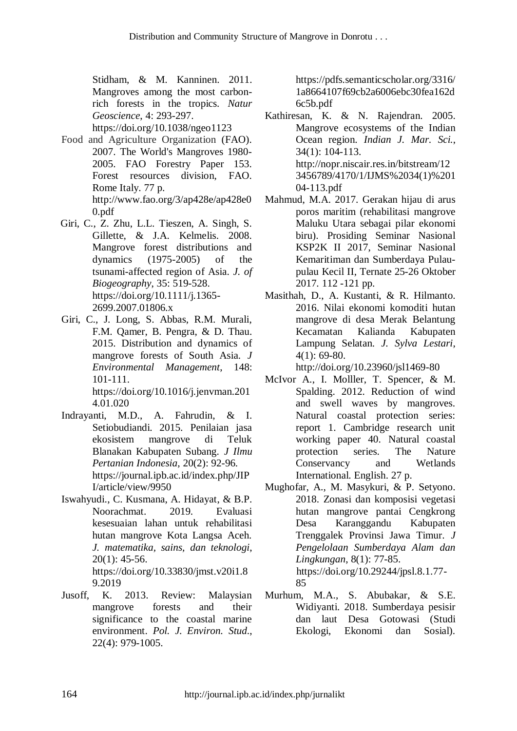Stidham, & M. Kanninen. 2011. Mangroves among the most carbonrich forests in the tropics. *Natur Geoscience*, 4: 293-297.

<https://doi.org/10.1038/ngeo1123>

- Food and Agriculture Organization (FAO). 2007. The World's Mangroves 1980- 2005. FAO Forestry Paper 153. Forest resources division, FAO. Rome Italy. 77 p. [http://www.fao.org/3/ap428e/ap428e0](http://www.fao.org/3/ap428e/ap428e00.pdf) [0.pdf](http://www.fao.org/3/ap428e/ap428e00.pdf)
- Giri, C., Z. Zhu, L.L. Tieszen, A. Singh, S. Gillette, & J.A. Kelmelis. 2008. Mangrove forest distributions and dynamics (1975-2005) of the tsunami-affected region of Asia. *J. of Biogeography*, 35: 519-528. [https://doi.org/10.1111/j.1365-](https://doi.org/10.1111/j.1365-2699.2007.01806.x) [2699.2007.01806.x](https://doi.org/10.1111/j.1365-2699.2007.01806.x)
- Giri, C., J. Long, S. Abbas, R.M. Murali, F.M. Qamer, B. Pengra, & D. Thau. 2015. Distribution and dynamics of mangrove forests of South Asia. *J Environmental Management*, 148: 101-111. [https://doi.org/10.1016/j.jenvman.201](https://doi.org/10.1016/j.jenvman.2014.01.020) [4.01.020](https://doi.org/10.1016/j.jenvman.2014.01.020)
- Indrayanti, M.D., A. Fahrudin, & I. Setiobudiandi. 2015. Penilaian jasa ekosistem mangrove di Teluk Blanakan Kabupaten Subang. *J Ilmu Pertanian Indonesia*, 20(2): 92-96. [https://journal.ipb.ac.id/index.php/JIP](https://journal.ipb.ac.id/index.php/JIPI/article/view/9950) [I/article/view/9950](https://journal.ipb.ac.id/index.php/JIPI/article/view/9950)
- Iswahyudi., C. Kusmana, A. Hidayat, & B.P. Noorachmat. 2019. Evaluasi kesesuaian lahan untuk rehabilitasi hutan mangrove Kota Langsa Aceh. *J. matematika, sains, dan teknologi*, 20(1): 45-56. [https://doi.org/10.33830/jmst.v20i1.8](https://doi.org/10.33830/jmst.v20i1.823.2019) [9.2019](https://doi.org/10.33830/jmst.v20i1.823.2019)
- Jusoff, K. 2013. Review: Malaysian mangrove forests and their significance to the coastal marine environment. *Pol. J. Environ. Stud*., 22(4): 979-1005.

[https://pdfs.semanticscholar.org/3316/](https://pdfs.semanticscholar.org/3316/1a8664107f69cb2a6006ebc30fea162d6c5b.pdf) [1a8664107f69cb2a6006ebc30fea162d](https://pdfs.semanticscholar.org/3316/1a8664107f69cb2a6006ebc30fea162d6c5b.pdf) [6c5b.pdf](https://pdfs.semanticscholar.org/3316/1a8664107f69cb2a6006ebc30fea162d6c5b.pdf)

- Kathiresan, K. & N. Rajendran. 2005. Mangrove ecosystems of the Indian Ocean region. *Indian J. Mar. Sci.*, 34(1): 104-113. [http://nopr.niscair.res.in/bitstream/12](http://nopr.niscair.res.in/bitstream/123456789/4170/1/IJMS%2034(1)%20104-113.pdf) [3456789/4170/1/IJMS%2034\(1\)%201](http://nopr.niscair.res.in/bitstream/123456789/4170/1/IJMS%2034(1)%20104-113.pdf) [04-113.pdf](http://nopr.niscair.res.in/bitstream/123456789/4170/1/IJMS%2034(1)%20104-113.pdf)
- Mahmud, M.A. 2017. Gerakan hijau di arus poros maritim (rehabilitasi mangrove Maluku Utara sebagai pilar ekonomi biru). Prosiding Seminar Nasional KSP2K II 2017, Seminar Nasional Kemaritiman dan Sumberdaya Pulaupulau Kecil II, Ternate 25-26 Oktober 2017*.* 112 -121 pp.
- Masithah, D., A. Kustanti, & R. Hilmanto. 2016. Nilai ekonomi komoditi hutan mangrove di desa Merak Belantung Kecamatan Kalianda Kabupaten Lampung Selatan. *J. Sylva Lestari*, 4(1): 69-80.

http://doi.org/10.23960/jsl1469-80

- McIvor A., I. Molller, T. Spencer, & M. Spalding. 2012. Reduction of wind and swell waves by mangroves. Natural coastal protection series: report 1. Cambridge research unit working paper 40. Natural coastal protection series. The Nature Conservancy and Wetlands International. English. 27 p.
- Mughofar, A., M. Masykuri, & P. Setyono. 2018. Zonasi dan komposisi vegetasi hutan mangrove pantai Cengkrong Desa Karanggandu Kabupaten Trenggalek Provinsi Jawa Timur. *J Pengelolaan Sumberdaya Alam dan Lingkungan*, 8(1): 77-85. [https://doi.org/10.29244/jpsl.8.1.77-](https://doi.org/10.29244/jpsl.8.1.77-85) [85](https://doi.org/10.29244/jpsl.8.1.77-85)
- Murhum, M.A., S. Abubakar, & S.E. Widiyanti. 2018. Sumberdaya pesisir dan laut Desa Gotowasi (Studi Ekologi, Ekonomi dan Sosial).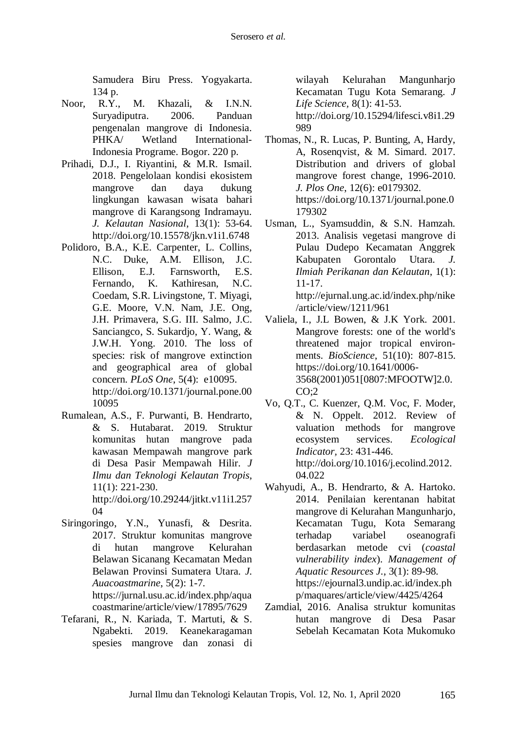Samudera Biru Press. Yogyakarta. 134 p.

- Noor, R.Y., M. Khazali, & I.N.N. Suryadiputra. 2006. Panduan pengenalan mangrove di Indonesia. PHKA/ Wetland International-Indonesia Programe. Bogor. 220 p.
- Prihadi, D.J., I. Riyantini, & M.R. Ismail. 2018. Pengelolaan kondisi ekosistem mangrove dan daya dukung lingkungan kawasan wisata bahari mangrove di Karangsong Indramayu. *J. Kelautan Nasional*, 13(1): 53-64. <http://doi.org/10.15578/jkn.v1i1.6748>
- Polidoro, B.A., K.E. Carpenter, L. Collins, N.C. Duke, A.M. Ellison, J.C. Ellison, E.J. Farnsworth, E.S. Fernando, K. Kathiresan, N.C. Coedam, S.R. Livingstone, T. Miyagi, G.E. Moore, V.N. Nam, J.E. Ong, J.H. Primavera, S.G. III. Salmo, J.C. Sanciangco, S. Sukardjo, Y. Wang, & J.W.H. Yong. 2010. The loss of species: risk of mangrove extinction and geographical area of global concern. *PLoS One*, 5(4): e10095. http://doi.org[/10.1371/journal.pone.00](https://doi.org/10.1371/journal.pone.0010095) [10095](https://doi.org/10.1371/journal.pone.0010095)
- Rumalean, A.S., F. Purwanti, B. Hendrarto, & S. Hutabarat. 2019. Struktur komunitas hutan mangrove pada kawasan Mempawah mangrove park di Desa Pasir Mempawah Hilir. *J Ilmu dan Teknologi Kelautan Tropis*, 11(1): 221-230. http://doi.org/10.29244/jitkt.v11i1.257 04
- Siringoringo, Y.N., Yunasfi, & Desrita. 2017. Struktur komunitas mangrove di hutan mangrove Kelurahan Belawan Sicanang Kecamatan Medan Belawan Provinsi Sumatera Utara*. J. Auacoastmarine*, 5(2): 1-7. [https://jurnal.usu.ac.id/index.php/aqua](https://jurnal.usu.ac.id/index.php/aquacoastmarine/article/view/17895/7629)

[coastmarine/article/view/17895/7629](https://jurnal.usu.ac.id/index.php/aquacoastmarine/article/view/17895/7629)

Tefarani, R., N. Kariada, T. Martuti, & S. Ngabekti. 2019. Keanekaragaman spesies mangrove dan zonasi di

wilayah Kelurahan Mangunharjo Kecamatan Tugu Kota Semarang. *J Life Science,* 8(1): 41-53. http://doi.org/10.15294/lifesci.v8i1.29 989

- Thomas, N., R. Lucas, P. Bunting, A, Hardy, A, Rosenqvist, & M. Simard. 2017. Distribution and drivers of global mangrove forest change, 1996-2010. *J. Plos One*, 12(6): e0179302. https://doi.org/10.1371/journal.pone.0 179302
- Usman, L., Syamsuddin, & S.N. Hamzah. 2013. Analisis vegetasi mangrove di Pulau Dudepo Kecamatan Anggrek Kabupaten Gorontalo Utara*. J. Ilmiah Perikanan dan Kelautan*, 1(1): 11-17. [http://ejurnal.ung.ac.id/index.php/nike](http://ejurnal.ung.ac.id/index.php/nike/article/view/1211/961)

[/article/view/1211/961](http://ejurnal.ung.ac.id/index.php/nike/article/view/1211/961)

- Valiela, I., J.L Bowen, & J.K York. 2001. Mangrove forests: one of the world's threatened major tropical environments. *BioScience*, 51(10): 807-815. [https://doi.org/10.1641/0006-](https://doi.org/10.1641/0006-3568(2001)051%5b0807:MFOOTW%5d2.0.CO;2) [3568\(2001\)051\[0807:MFOOTW\]2.0.](https://doi.org/10.1641/0006-3568(2001)051%5b0807:MFOOTW%5d2.0.CO;2) [CO;2](https://doi.org/10.1641/0006-3568(2001)051%5b0807:MFOOTW%5d2.0.CO;2)
- Vo, Q.T., C. Kuenzer, Q.M. Voc, F. Moder, & N. Oppelt. 2012. Review of valuation methods for mangrove ecosystem services. *Ecological Indicator,* 23: 431-446. [http://doi.org/10.1016/j.ecolind.2012.](http://doi.org/10.1016/j.ecolind.2012.04.022) [04.022](http://doi.org/10.1016/j.ecolind.2012.04.022)
- Wahyudi, A., B. Hendrarto, & A. Hartoko. 2014. Penilaian kerentanan habitat mangrove di Kelurahan Mangunharjo, Kecamatan Tugu, Kota Semarang terhadap variabel oseanografi berdasarkan metode cvi (*coastal vulnerability index*). *Management of Aquatic Resources J.*, 3(1): 89-98. [https://ejournal3.undip.ac.id/index.ph](https://ejournal3.undip.ac.id/index.php/maquares/article/view/4425/4264) [p/maquares/article/view/4425/4264](https://ejournal3.undip.ac.id/index.php/maquares/article/view/4425/4264)
- Zamdial, 2016. Analisa struktur komunitas hutan mangrove di Desa Pasar Sebelah Kecamatan Kota Mukomuko